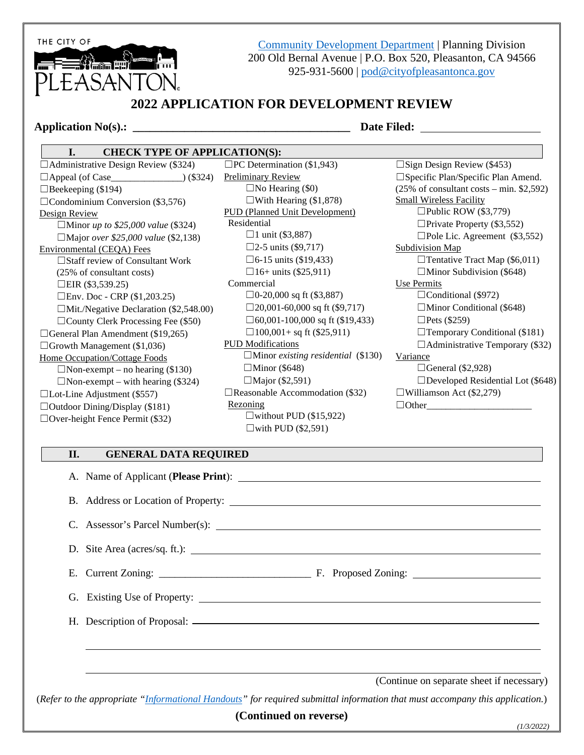THE CITY OF

and the state of the state of the state of the state of the state of the state of the state of the state of the LEASANTON.

[Community Development Department](http://www.cityofpleasantonca.gov/gov/depts/cd/default.asp) | Planning Division 200 Old Bernal Avenue | P.O. Box 520, Pleasanton, CA 94566 925-931-5600 | [pod@cityofpleasantonca.gov](mailto:pod@cityofpleasantonca.gov)

# **2022 APPLICATION FOR DEVELOPMENT REVIEW**

#### **Application No(s).: \_\_\_\_\_\_\_\_\_\_\_\_\_\_\_\_\_\_\_\_\_\_\_\_\_\_\_\_\_\_\_\_\_\_\_\_\_\_ Date Filed:**

#### **I. CHECK TYPE OF APPLICATION(S):**

 $\Box$ Administrative Design Review (\$324) ☐Appeal (of Case\_\_\_\_\_\_\_\_\_\_\_\_\_\_\_) (\$324)  $\Box$ Beekeeping (\$194)  $\Box$ Condominium Conversion (\$3,576) Design Review ☐Minor *up to \$25,000 value* (\$324) ☐Major *over \$25,000 value* (\$2,138) Environmental (CEQA) Fees ☐Staff review of Consultant Work (25% of consultant costs) □EIR  $(\$3,539.25)$  $\Box$ Env. Doc - CRP (\$1,203.25) ☐Mit./Negative Declaration (\$2,548.00)  $\Box$ County Clerk Processing Fee (\$50)  $\Box$ General Plan Amendment (\$19,265)  $\Box$ Growth Management (\$1,036) Home Occupation/Cottage Foods  $\Box$ Non-exempt – no hearing (\$130)  $\Box$ Non-exempt – with hearing (\$324)  $\Box$ Lot-Line Adjustment (\$557)  $\Box$ Outdoor Dining/Display (\$181) ☐Over-height Fence Permit (\$32)

 $\square$ PC Determination (\$1,943) Preliminary Review  $\Box$ No Hearing (\$0)  $\Box$ With Hearing (\$1,878) PUD (Planned Unit Development) Residential  $\Box$ 1 unit (\$3,887)  $\Box$ 2-5 units (\$9,717)  $\square$ 6-15 units (\$19,433)  $\Box$ 16+ units (\$25,911) Commercial  $\Box 0$ -20,000 sq ft (\$3,887)  $\Box$ 20,001-60,000 sq ft (\$9,717) ☐60,001-100,000 sq ft (\$19,433)  $\Box 100,001+$  sq ft (\$25,911) PUD Modifications ☐Minor *existing residential* (\$130)  $\Box$ Minor (\$648)  $\Box$ Major (\$2,591)  $\Box$ Reasonable Accommodation (\$32) Rezoning  $\square$ without PUD (\$15,922)

#### ☐Sign Design Review (\$453) ☐Specific Plan/Specific Plan Amend. (25% of consultant costs – min. \$2,592) Small Wireless Facility  $\Box$ Public ROW (\$3,779)  $\Box$ Private Property (\$3,552)  $\Box$ Pole Lic. Agreement (\$3,552) Subdivision Map  $\Box$ Tentative Tract Map (\$6,011)  $\Box$ Minor Subdivision (\$648) Use Permits  $\Box$ Conditional (\$972)  $\Box$ Minor Conditional (\$648)  $\Box$ Pets (\$259)  $\Box$ Temporary Conditional (\$181)  $\Box$ Administrative Temporary (\$32) Variance  $\Box$ General (\$2,928) ☐Developed Residential Lot (\$648)  $\Box$ Williamson Act (\$2,279)  $\Box$  Other

### **II. GENERAL DATA REQUIRED**

A. Name of Applicant (**Please Print**): B. Address or Location of Property: C. Assessor's Parcel Number(s): D. Site Area (acres/sq. ft.): E. Current Zoning: \_\_\_\_\_\_\_\_\_\_\_\_\_\_\_\_\_\_\_\_\_\_\_\_\_\_\_\_\_ F. Proposed Zoning: G. Existing Use of Property: H. Description of Proposal: (Continue on separate sheet if necessary) (*Refer to the appropriate ["Informational Handouts"](http://www.cityofpleasantonca.gov/gov/depts/cd/permit/process/planning.asp) for required submittal information that must accompany this application.*)

 $\square$ with PUD (\$2,591)